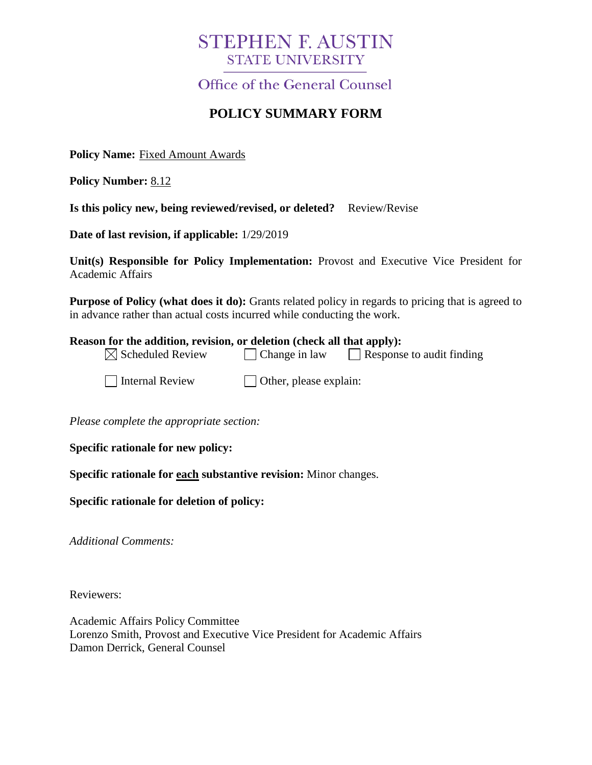# **STEPHEN F. AUSTIN STATE UNIVERSITY**

Office of the General Counsel

# **POLICY SUMMARY FORM**

**Policy Name:** Fixed Amount Awards

**Policy Number:** 8.12

**Is this policy new, being reviewed/revised, or deleted?** Review/Revise

**Date of last revision, if applicable:** 1/29/2019

**Unit(s) Responsible for Policy Implementation:** Provost and Executive Vice President for Academic Affairs

**Purpose of Policy (what does it do):** Grants related policy in regards to pricing that is agreed to in advance rather than actual costs incurred while conducting the work.

#### **Reason for the addition, revision, or deletion (check all that apply):**

| $\boxtimes$ Scheduled Review | $\Box$ Change in law | Response to audit finding |
|------------------------------|----------------------|---------------------------|
|                              |                      |                           |

 $\Box$  Internal Review  $\Box$  Other, please explain:

*Please complete the appropriate section:*

**Specific rationale for new policy:**

**Specific rationale for each substantive revision:** Minor changes.

**Specific rationale for deletion of policy:**

*Additional Comments:*

Reviewers:

Academic Affairs Policy Committee Lorenzo Smith, Provost and Executive Vice President for Academic Affairs Damon Derrick, General Counsel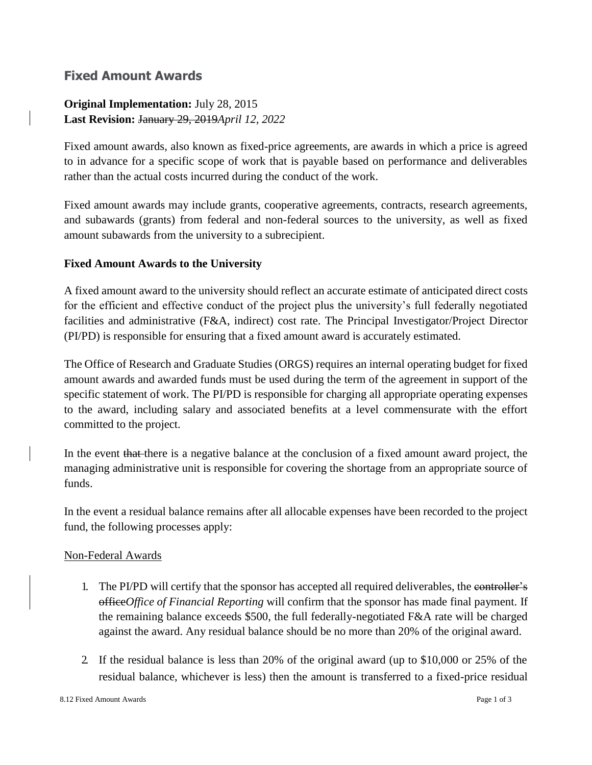# **Fixed Amount Awards**

# **Original Implementation:** July 28, 2015 **Last Revision:** January 29, 2019*April 12, 2022*

Fixed amount awards, also known as fixed-price agreements, are awards in which a price is agreed to in advance for a specific scope of work that is payable based on performance and deliverables rather than the actual costs incurred during the conduct of the work.

Fixed amount awards may include grants, cooperative agreements, contracts, research agreements, and subawards (grants) from federal and non-federal sources to the university, as well as fixed amount subawards from the university to a subrecipient.

# **Fixed Amount Awards to the University**

A fixed amount award to the university should reflect an accurate estimate of anticipated direct costs for the efficient and effective conduct of the project plus the university's full federally negotiated facilities and administrative (F&A, indirect) cost rate. The Principal Investigator/Project Director (PI/PD) is responsible for ensuring that a fixed amount award is accurately estimated.

The Office of Research and Graduate Studies (ORGS) requires an internal operating budget for fixed amount awards and awarded funds must be used during the term of the agreement in support of the specific statement of work. The PI/PD is responsible for charging all appropriate operating expenses to the award, including salary and associated benefits at a level commensurate with the effort committed to the project.

In the event that there is a negative balance at the conclusion of a fixed amount award project, the managing administrative unit is responsible for covering the shortage from an appropriate source of funds.

In the event a residual balance remains after all allocable expenses have been recorded to the project fund, the following processes apply:

# Non-Federal Awards

- 1. The PI/PD will certify that the sponsor has accepted all required deliverables, the controller's office*Office of Financial Reporting* will confirm that the sponsor has made final payment. If the remaining balance exceeds \$500, the full federally-negotiated F&A rate will be charged against the award. Any residual balance should be no more than 20% of the original award.
- 2. If the residual balance is less than 20% of the original award (up to \$10,000 or 25% of the residual balance, whichever is less) then the amount is transferred to a fixed-price residual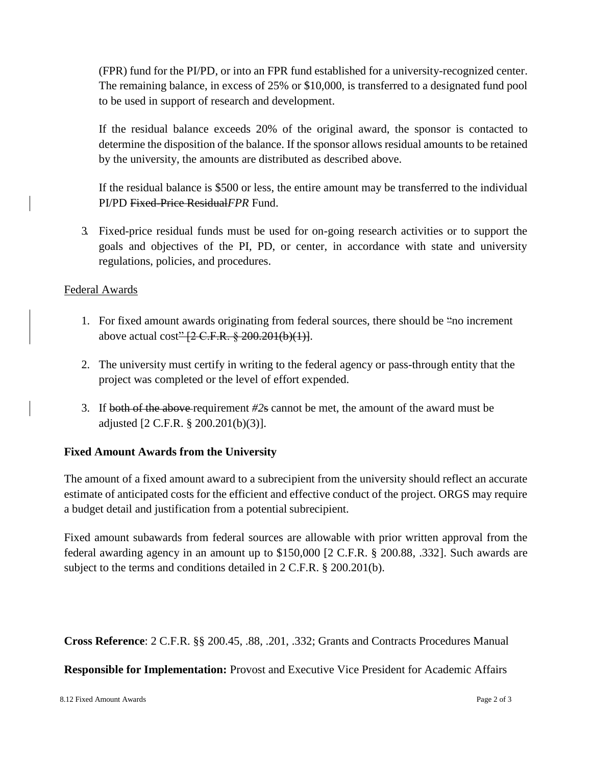(FPR) fund for the PI/PD, or into an FPR fund established for a university-recognized center. The remaining balance, in excess of 25% or \$10,000, is transferred to a designated fund pool to be used in support of research and development.

If the residual balance exceeds 20% of the original award, the sponsor is contacted to determine the disposition of the balance. If the sponsor allows residual amounts to be retained by the university, the amounts are distributed as described above.

If the residual balance is \$500 or less, the entire amount may be transferred to the individual PI/PD Fixed-Price Residual*FPR* Fund.

3. Fixed-price residual funds must be used for on-going research activities or to support the goals and objectives of the PI, PD, or center, in accordance with state and university regulations, policies, and procedures.

#### Federal Awards

- 1. For fixed amount awards originating from federal sources, there should be "no increment above actual cost" [2 C.F.R. § 200.201(b)(1)].
- 2. The university must certify in writing to the federal agency or pass-through entity that the project was completed or the level of effort expended.
- 3. If both of the above requirement *#2*s cannot be met, the amount of the award must be adjusted [2 C.F.R. § 200.201(b)(3)].

# **Fixed Amount Awards from the University**

The amount of a fixed amount award to a subrecipient from the university should reflect an accurate estimate of anticipated costs for the efficient and effective conduct of the project. ORGS may require a budget detail and justification from a potential subrecipient.

Fixed amount subawards from federal sources are allowable with prior written approval from the federal awarding agency in an amount up to \$150,000 [2 C.F.R. § 200.88, .332]. Such awards are subject to the terms and conditions detailed in 2 C.F.R. § 200.201(b).

**Cross Reference**: 2 C.F.R. §§ 200.45, .88, .201, .332; Grants and Contracts Procedures Manual

**Responsible for Implementation:** Provost and Executive Vice President for Academic Affairs